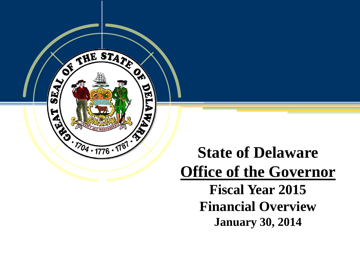

### **State of Delaware Office of the Governor Fiscal Year 2015 Financial Overview**

**January 30, 2014**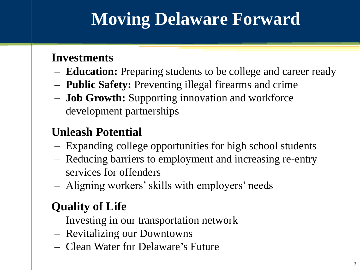# **Moving Delaware Forward**

### **Investments**

- **Education:** Preparing students to be college and career ready
- **Public Safety:** Preventing illegal firearms and crime
- **Job Growth:** Supporting innovation and workforce development partnerships

### **Unleash Potential**

- Expanding college opportunities for high school students
- Reducing barriers to employment and increasing re-entry services for offenders
- Aligning workers' skills with employers' needs

### **Quality of Life**

- Investing in our transportation network
- Revitalizing our Downtowns
- Clean Water for Delaware's Future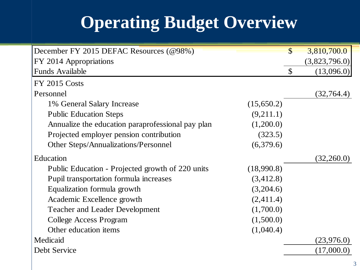# **Operating Budget Overview**

| December FY 2015 DEFAC Resources (@98%)                        | $\mathcal{S}$             | 3,810,700.0   |
|----------------------------------------------------------------|---------------------------|---------------|
| FY 2014 Appropriations                                         |                           | (3,823,796.0) |
| <b>Funds Available</b>                                         | $\boldsymbol{\mathsf{S}}$ | (13,096.0)    |
| <b>FY 2015 Costs</b>                                           |                           |               |
| Personnel                                                      |                           | (32, 764.4)   |
| (15,650.2)<br>1% General Salary Increase                       |                           |               |
| (9,211.1)<br><b>Public Education Steps</b>                     |                           |               |
| Annualize the education paraprofessional pay plan<br>(1,200.0) |                           |               |
| Projected employer pension contribution<br>(323.5)             |                           |               |
| (6,379.6)<br>Other Steps/Annualizations/Personnel              |                           |               |
| Education                                                      |                           | (32,260.0)    |
| (18,990.8)<br>Public Education - Projected growth of 220 units |                           |               |
| Pupil transportation formula increases<br>(3,412.8)            |                           |               |
| (3,204.6)<br>Equalization formula growth                       |                           |               |
| (2,411.4)<br>Academic Excellence growth                        |                           |               |
| (1,700.0)<br><b>Teacher and Leader Development</b>             |                           |               |
| (1,500.0)<br><b>College Access Program</b>                     |                           |               |
| Other education items<br>(1,040.4)                             |                           |               |
| Medicaid                                                       |                           | (23, 976.0)   |
| Debt Service                                                   |                           | (17,000.0)    |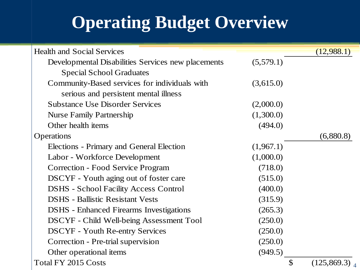# **Operating Budget Overview**

| <b>Health and Social Services</b>                  |               | (12,988.1)                  |
|----------------------------------------------------|---------------|-----------------------------|
| Developmental Disabilities Services new placements | (5,579.1)     |                             |
| <b>Special School Graduates</b>                    |               |                             |
| Community-Based services for individuals with      | (3,615.0)     |                             |
| serious and persistent mental illness              |               |                             |
| <b>Substance Use Disorder Services</b>             | (2,000.0)     |                             |
| <b>Nurse Family Partnership</b>                    | (1,300.0)     |                             |
| Other health items                                 | (494.0)       |                             |
| Operations                                         |               | (6,880.8)                   |
| Elections - Primary and General Election           | (1,967.1)     |                             |
| Labor - Workforce Development                      | (1,000.0)     |                             |
| <b>Correction - Food Service Program</b>           | (718.0)       |                             |
| DSCYF - Youth aging out of foster care             | (515.0)       |                             |
| <b>DSHS</b> - School Facility Access Control       | (400.0)       |                             |
| <b>DSHS</b> - Ballistic Resistant Vests            | (315.9)       |                             |
| <b>DSHS</b> - Enhanced Firearms Investigations     | (265.3)       |                             |
| DSCYF - Child Well-being Assessment Tool           | (250.0)       |                             |
| <b>DSCYF</b> - Youth Re-entry Services             | (250.0)       |                             |
| Correction - Pre-trial supervision                 | (250.0)       |                             |
| Other operational items                            | (949.5)       |                             |
| <b>Total FY 2015 Costs</b>                         | $\mathcal{S}$ | $(125, 869.3)$ <sub>4</sub> |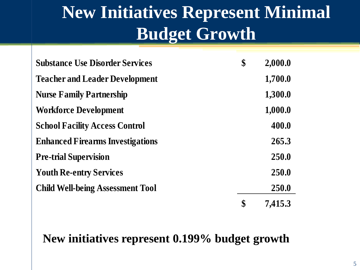# **New Initiatives Represent Minimal Budget Growth**

| <b>Substance Use Disorder Services</b>  | \$<br>2,000.0 |
|-----------------------------------------|---------------|
| <b>Teacher and Leader Development</b>   | 1,700.0       |
| <b>Nurse Family Partnership</b>         | 1,300.0       |
| <b>Workforce Development</b>            | 1,000.0       |
| <b>School Facility Access Control</b>   | 400.0         |
| <b>Enhanced Firearms Investigations</b> | 265.3         |
| <b>Pre-trial Supervision</b>            | 250.0         |
| <b>Youth Re-entry Services</b>          | 250.0         |
| <b>Child Well-being Assessment Tool</b> | 250.0         |
|                                         | \$<br>7,415.3 |

### **New initiatives represent 0.199% budget growth**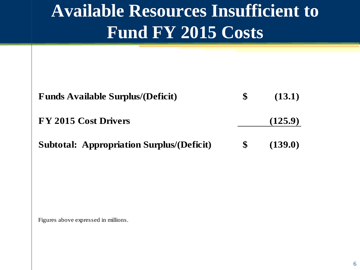# **Available Resources Insufficient to Fund FY 2015 Costs**

| <b>Funds Available Surplus/(Deficit)</b>         |              | (13.1)  |
|--------------------------------------------------|--------------|---------|
| FY 2015 Cost Drivers                             |              | (125.9) |
| <b>Subtotal: Appropriation Surplus/(Deficit)</b> | <sup>S</sup> | (139.0) |

Figures above expressed in millions.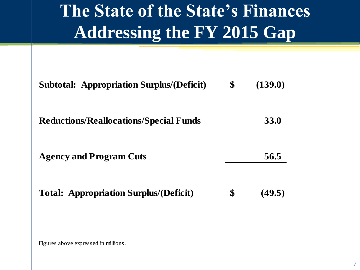# **The State of the State's Finances Addressing the FY 2015 Gap**

| <b>Subtotal: Appropriation Surplus/(Deficit)</b> | \$<br>(139.0) |
|--------------------------------------------------|---------------|
| <b>Reductions/Reallocations/Special Funds</b>    | <b>33.0</b>   |
| <b>Agency and Program Cuts</b>                   | 56.5          |
| <b>Total: Appropriation Surplus/(Deficit)</b>    | \$<br>(49.5)  |

Figures above expressed in millions.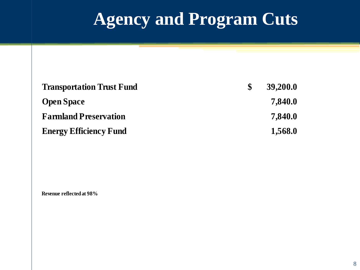# **Agency and Program Cuts**

| <b>Transportation Trust Fund</b> | 39,200.0 |
|----------------------------------|----------|
| <b>Open Space</b>                | 7,840.0  |
| <b>Farmland Preservation</b>     | 7,840.0  |
| <b>Energy Efficiency Fund</b>    | 1,568.0  |

**Revenue reflected at 98%**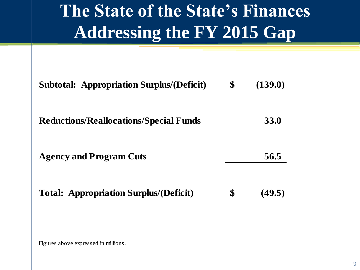# **The State of the State's Finances Addressing the FY 2015 Gap**

| <b>Subtotal: Appropriation Surplus/(Deficit)</b> | \$<br>(139.0) |
|--------------------------------------------------|---------------|
| <b>Reductions/Reallocations/Special Funds</b>    | <b>33.0</b>   |
| <b>Agency and Program Cuts</b>                   | 56.5          |
| <b>Total: Appropriation Surplus/(Deficit)</b>    | \$<br>(49.5)  |

Figures above expressed in millions.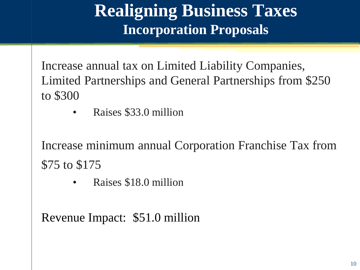## **Realigning Business Taxes Incorporation Proposals**

Increase annual tax on Limited Liability Companies, Limited Partnerships and General Partnerships from \$250 to \$300

• Raises \$33.0 million

Increase minimum annual Corporation Franchise Tax from \$75 to \$175

• Raises \$18.0 million

Revenue Impact: \$51.0 million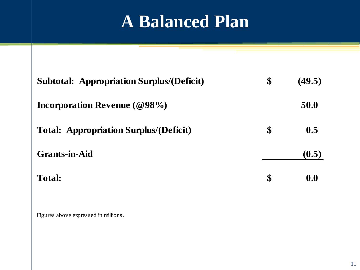## **A Balanced Plan**

| <b>Subtotal: Appropriation Surplus/(Deficit)</b> | $\boldsymbol{\$}$ | (49.5) |
|--------------------------------------------------|-------------------|--------|
| Incorporation Revenue $(\textcircled{98\%})$     |                   | 50.0   |
| <b>Total: Appropriation Surplus/(Deficit)</b>    | \$                | 0.5    |
| <b>Grants-in-Aid</b>                             |                   | (0.5)  |
| <b>Total:</b>                                    | \$                | 0.0    |

Figures above expressed in millions.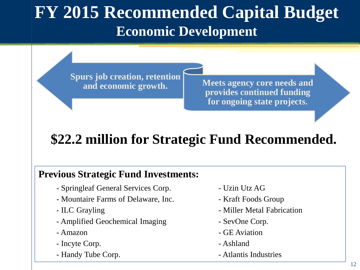## **FY 2015 Recommended Capital Budget Economic Development**

**Spurs job creation, retention** 

and economic growth. Meets agency core needs and **provides continued funding for ongoing state projects.**

### **\$22.2 million for Strategic Fund Recommended.**

#### **Previous Strategic Fund Investments:**

- Springleaf General Services Corp. Uzin Utz AG
- Mountaire Farms of Delaware, Inc. Kraft Foods Group
- 
- Amplified Geochemical Imaging SevOne Corp.
- 
- Incyte Corp.  $\blacksquare$
- Handy Tube Corp.  **Atlantis Industries**
- 
- 
- ILC Grayling  **Miller Metal Fabrication** 
	-
- Amazon CE Aviation
	-
	-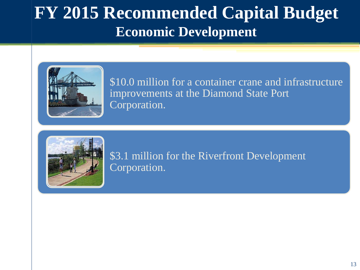## **FY 2015 Recommended Capital Budget Economic Development**



\$10.0 million for a container crane and infrastructure improvements at the Diamond State Port Corporation.



\$3.1 million for the Riverfront Development Corporation.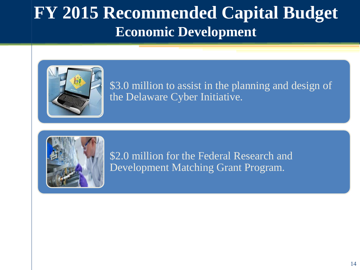## **FY 2015 Recommended Capital Budget Economic Development**



\$3.0 million to assist in the planning and design of the Delaware Cyber Initiative.



\$2.0 million for the Federal Research and Development Matching Grant Program.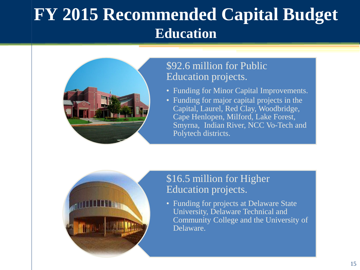## **FY 2015 Recommended Capital Budget Education**



#### \$92.6 million for Public Education projects.

- Funding for Minor Capital Improvements.
- Funding for major capital projects in the Capital, Laurel, Red Clay, Woodbridge, Cape Henlopen, Milford, Lake Forest, Smyrna, Indian River, NCC Vo-Tech and Polytech districts.



#### \$16.5 million for Higher Education projects.

• Funding for projects at Delaware State University, Delaware Technical and Community College and the University of Delaware.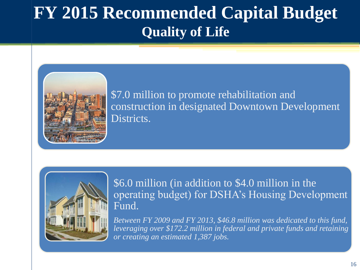## **FY 2015 Recommended Capital Budget Quality of Life**



\$7.0 million to promote rehabilitation and construction in designated Downtown Development Districts.



\$6.0 million (in addition to \$4.0 million in the operating budget) for DSHA's Housing Development Fund.

*Between FY 2009 and FY 2013, \$46.8 million was dedicated to this fund, leveraging over \$172.2 million in federal and private funds and retaining or creating an estimated 1,387 jobs.*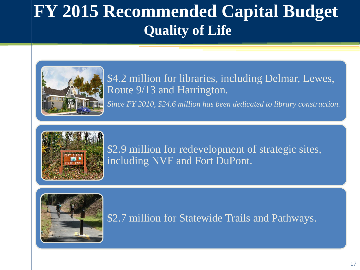## **FY 2015 Recommended Capital Budget Quality of Life**



\$4.2 million for libraries, including Delmar, Lewes, Route 9/13 and Harrington.

*Since FY 2010, \$24.6 million has been dedicated to library construction.*



\$2.9 million for redevelopment of strategic sites, including NVF and Fort DuPont.



\$2.7 million for Statewide Trails and Pathways.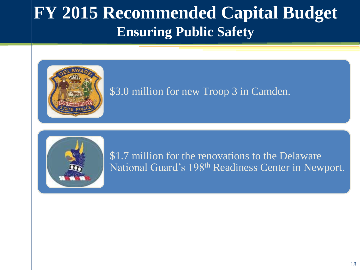### **FY 2015 Recommended Capital Budget Ensuring Public Safety**



#### \$3.0 million for new Troop 3 in Camden.



\$1.7 million for the renovations to the Delaware National Guard's 198th Readiness Center in Newport.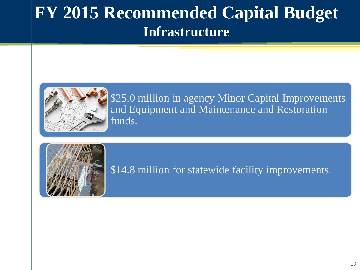### **FY 2015 Recommended Capital Budget Infrastructure**



\$25.0 million in agency Minor Capital Improvements and Equipment and Maintenance and Restoration funds.



\$14.8 million for statewide facility improvements.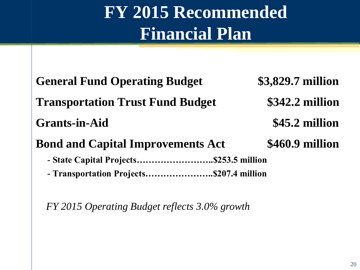# **FY 2015 Recommended Financial Plan**

| <b>General Fund Operating Budget</b>     | \$3,829.7 million |  |  |
|------------------------------------------|-------------------|--|--|
| <b>Transportation Trust Fund Budget</b>  | \$342.2 million   |  |  |
| <b>Grants-in-Aid</b>                     | \$45.2 million    |  |  |
| <b>Bond and Capital Improvements Act</b> | \$460.9 million   |  |  |
| - State Capital Projects\$253.5 million  |                   |  |  |
| - Transportation Projects\$207.4 million |                   |  |  |

*FY 2015 Operating Budget reflects 3.0% growth*